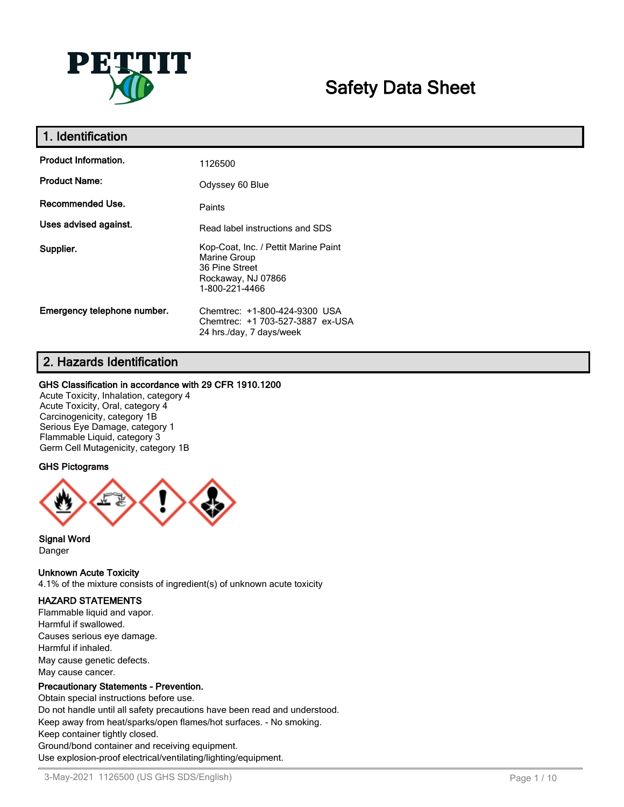

# **Safety Data Sheet**

| 1. Identification           |                                                                                                                |
|-----------------------------|----------------------------------------------------------------------------------------------------------------|
| <b>Product Information.</b> | 1126500                                                                                                        |
| <b>Product Name:</b>        | Odyssey 60 Blue                                                                                                |
| <b>Recommended Use.</b>     | Paints                                                                                                         |
| Uses advised against.       | Read label instructions and SDS                                                                                |
| Supplier.                   | Kop-Coat, Inc. / Pettit Marine Paint<br>Marine Group<br>36 Pine Street<br>Rockaway, NJ 07866<br>1-800-221-4466 |
| Emergency telephone number. | Chemtrec: +1-800-424-9300 USA<br>Chemtrec: +1 703-527-3887 ex-USA<br>24 hrs./day, 7 days/week                  |

## **2. Hazards Identification**

#### **GHS Classification in accordance with 29 CFR 1910.1200**

Acute Toxicity, Inhalation, category 4 Acute Toxicity, Oral, category 4 Carcinogenicity, category 1B Serious Eye Damage, category 1 Flammable Liquid, category 3 Germ Cell Mutagenicity, category 1B

#### **GHS Pictograms**



**Signal Word** Danger

#### **Unknown Acute Toxicity**

4.1% of the mixture consists of ingredient(s) of unknown acute toxicity

#### **HAZARD STATEMENTS**

Flammable liquid and vapor. Harmful if swallowed. Causes serious eye damage. Harmful if inhaled. May cause genetic defects. May cause cancer.

#### **Precautionary Statements - Prevention.**

Obtain special instructions before use. Do not handle until all safety precautions have been read and understood. Keep away from heat/sparks/open flames/hot surfaces. - No smoking. Keep container tightly closed. Ground/bond container and receiving equipment. Use explosion-proof electrical/ventilating/lighting/equipment.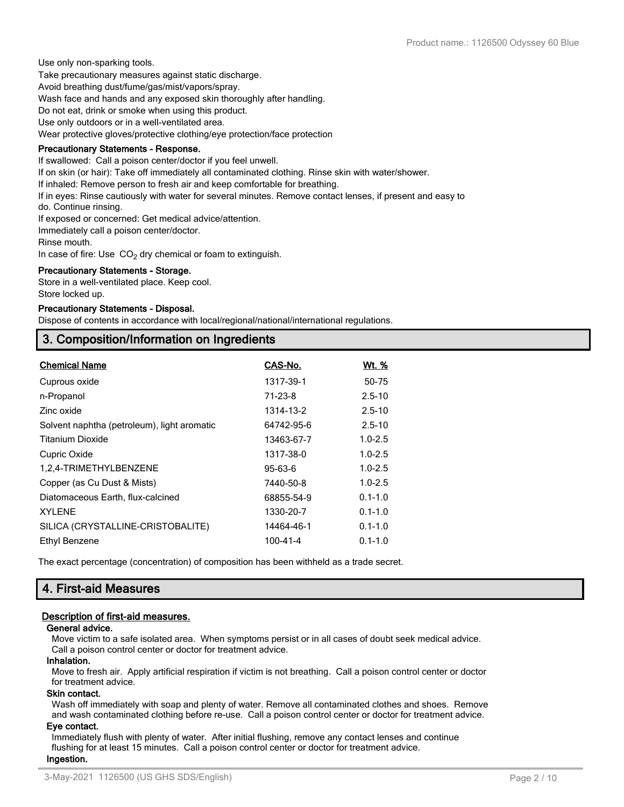Use only non-sparking tools. Take precautionary measures against static discharge. Avoid breathing dust/fume/gas/mist/vapors/spray. Wash face and hands and any exposed skin thoroughly after handling. Do not eat, drink or smoke when using this product. Use only outdoors or in a well-ventilated area. Wear protective gloves/protective clothing/eye protection/face protection

#### **Precautionary Statements - Response.**

If swallowed: Call a poison center/doctor if you feel unwell.

If on skin (or hair): Take off immediately all contaminated clothing. Rinse skin with water/shower.

If inhaled: Remove person to fresh air and keep comfortable for breathing.

If in eyes: Rinse cautiously with water for several minutes. Remove contact lenses, if present and easy to

do. Continue rinsing.

If exposed or concerned: Get medical advice/attention.

Immediately call a poison center/doctor.

Rinse mouth.

In case of fire: Use  $CO<sub>2</sub>$  dry chemical or foam to extinguish.

#### **Precautionary Statements - Storage.**

Store in a well-ventilated place. Keep cool. Store locked up.

#### **Precautionary Statements - Disposal.**

Dispose of contents in accordance with local/regional/national/international regulations.

## **3. Composition/Information on Ingredients**

| <b>Chemical Name</b>                        | CAS-No.        | <u>Wt. %</u> |
|---------------------------------------------|----------------|--------------|
| Cuprous oxide                               | 1317-39-1      | 50-75        |
| n-Propanol                                  | $71 - 23 - 8$  | $2.5 - 10$   |
| Zinc oxide                                  | 1314-13-2      | $2.5 - 10$   |
| Solvent naphtha (petroleum), light aromatic | 64742-95-6     | $2.5 - 10$   |
| <b>Titanium Dioxide</b>                     | 13463-67-7     | $1.0 - 2.5$  |
| Cupric Oxide                                | 1317-38-0      | $1.0 - 2.5$  |
| 1,2,4-TRIMETHYLBENZENE                      | $95 - 63 - 6$  | $1.0 - 2.5$  |
| Copper (as Cu Dust & Mists)                 | 7440-50-8      | $1.0 - 2.5$  |
| Diatomaceous Earth, flux-calcined           | 68855-54-9     | $0.1 - 1.0$  |
| <b>XYLENE</b>                               | 1330-20-7      | $0.1 - 1.0$  |
| SILICA (CRYSTALLINE-CRISTOBALITE)           | 14464-46-1     | $0.1 - 1.0$  |
| Ethyl Benzene                               | $100 - 41 - 4$ | $0.1 - 1.0$  |

The exact percentage (concentration) of composition has been withheld as a trade secret.

## **4. First-aid Measures**

#### **Description of first-aid measures.**

#### **General advice.**

Move victim to a safe isolated area. When symptoms persist or in all cases of doubt seek medical advice. Call a poison control center or doctor for treatment advice.

#### **Inhalation.**

Move to fresh air. Apply artificial respiration if victim is not breathing. Call a poison control center or doctor for treatment advice.

#### **Skin contact.**

Wash off immediately with soap and plenty of water. Remove all contaminated clothes and shoes. Remove and wash contaminated clothing before re-use. Call a poison control center or doctor for treatment advice.

#### **Eye contact.**

Immediately flush with plenty of water. After initial flushing, remove any contact lenses and continue flushing for at least 15 minutes. Call a poison control center or doctor for treatment advice. **Ingestion.**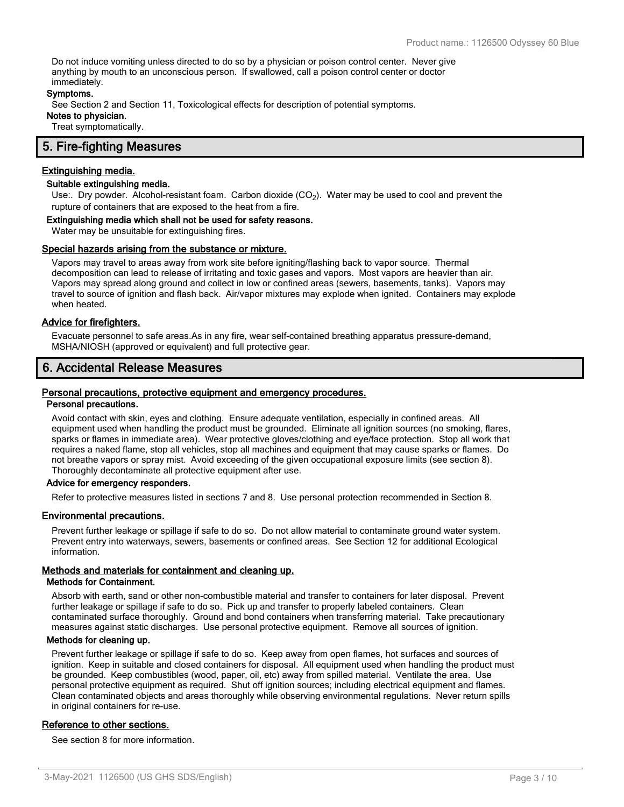Do not induce vomiting unless directed to do so by a physician or poison control center. Never give anything by mouth to an unconscious person. If swallowed, call a poison control center or doctor immediately.

#### **Symptoms.**

See Section 2 and Section 11, Toxicological effects for description of potential symptoms. **Notes to physician.**

Treat symptomatically.

## **5. Fire-fighting Measures**

#### **Extinguishing media.**

#### **Suitable extinguishing media.**

Use:. Dry powder. Alcohol-resistant foam. Carbon dioxide (CO<sub>2</sub>). Water may be used to cool and prevent the rupture of containers that are exposed to the heat from a fire.

#### **Extinguishing media which shall not be used for safety reasons.**

Water may be unsuitable for extinguishing fires.

#### **Special hazards arising from the substance or mixture.**

Vapors may travel to areas away from work site before igniting/flashing back to vapor source. Thermal decomposition can lead to release of irritating and toxic gases and vapors. Most vapors are heavier than air. Vapors may spread along ground and collect in low or confined areas (sewers, basements, tanks). Vapors may travel to source of ignition and flash back. Air/vapor mixtures may explode when ignited. Containers may explode when heated.

#### **Advice for firefighters.**

Evacuate personnel to safe areas.As in any fire, wear self-contained breathing apparatus pressure-demand, MSHA/NIOSH (approved or equivalent) and full protective gear.

### **6. Accidental Release Measures**

#### **Personal precautions, protective equipment and emergency procedures.**

#### **Personal precautions.**

Avoid contact with skin, eyes and clothing. Ensure adequate ventilation, especially in confined areas. All equipment used when handling the product must be grounded. Eliminate all ignition sources (no smoking, flares, sparks or flames in immediate area). Wear protective gloves/clothing and eye/face protection. Stop all work that requires a naked flame, stop all vehicles, stop all machines and equipment that may cause sparks or flames. Do not breathe vapors or spray mist. Avoid exceeding of the given occupational exposure limits (see section 8). Thoroughly decontaminate all protective equipment after use.

#### **Advice for emergency responders.**

Refer to protective measures listed in sections 7 and 8. Use personal protection recommended in Section 8.

#### **Environmental precautions.**

Prevent further leakage or spillage if safe to do so. Do not allow material to contaminate ground water system. Prevent entry into waterways, sewers, basements or confined areas. See Section 12 for additional Ecological information.

#### **Methods and materials for containment and cleaning up.**

#### **Methods for Containment.**

Absorb with earth, sand or other non-combustible material and transfer to containers for later disposal. Prevent further leakage or spillage if safe to do so. Pick up and transfer to properly labeled containers. Clean contaminated surface thoroughly. Ground and bond containers when transferring material. Take precautionary measures against static discharges. Use personal protective equipment. Remove all sources of ignition.

#### **Methods for cleaning up.**

Prevent further leakage or spillage if safe to do so. Keep away from open flames, hot surfaces and sources of ignition. Keep in suitable and closed containers for disposal. All equipment used when handling the product must be grounded. Keep combustibles (wood, paper, oil, etc) away from spilled material. Ventilate the area. Use personal protective equipment as required. Shut off ignition sources; including electrical equipment and flames. Clean contaminated objects and areas thoroughly while observing environmental regulations. Never return spills in original containers for re-use.

#### **Reference to other sections.**

See section 8 for more information.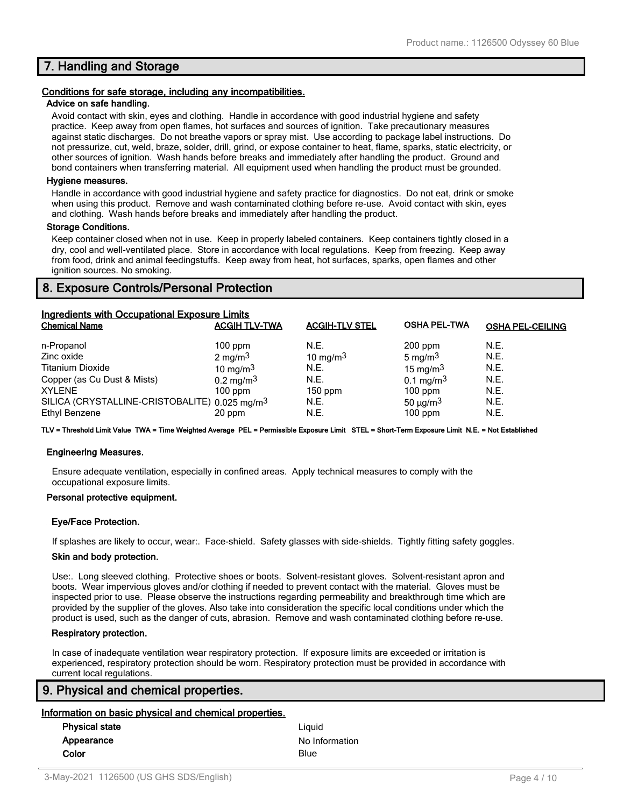## **7. Handling and Storage**

#### **Conditions for safe storage, including any incompatibilities.**

#### **Advice on safe handling.**

Avoid contact with skin, eyes and clothing. Handle in accordance with good industrial hygiene and safety practice. Keep away from open flames, hot surfaces and sources of ignition. Take precautionary measures against static discharges. Do not breathe vapors or spray mist. Use according to package label instructions. Do not pressurize, cut, weld, braze, solder, drill, grind, or expose container to heat, flame, sparks, static electricity, or other sources of ignition. Wash hands before breaks and immediately after handling the product. Ground and bond containers when transferring material. All equipment used when handling the product must be grounded.

#### **Hygiene measures.**

Handle in accordance with good industrial hygiene and safety practice for diagnostics. Do not eat, drink or smoke when using this product. Remove and wash contaminated clothing before re-use. Avoid contact with skin, eyes and clothing. Wash hands before breaks and immediately after handling the product.

#### **Storage Conditions.**

Keep container closed when not in use. Keep in properly labeled containers. Keep containers tightly closed in a dry, cool and well-ventilated place. Store in accordance with local regulations. Keep from freezing. Keep away from food, drink and animal feedingstuffs. Keep away from heat, hot surfaces, sparks, open flames and other ignition sources. No smoking.

## **8. Exposure Controls/Personal Protection**

| Ingredients with Occupational Exposure Limits             |                      |                       |                           |                         |  |
|-----------------------------------------------------------|----------------------|-----------------------|---------------------------|-------------------------|--|
| <b>Chemical Name</b>                                      | <b>ACGIH TLV-TWA</b> | <b>ACGIH-TLV STEL</b> | <b>OSHA PEL-TWA</b>       | <b>OSHA PEL-CEILING</b> |  |
| n-Propanol                                                | $100$ ppm            | N.E.                  | $200$ ppm                 | N.E.                    |  |
| Zinc oxide                                                | $2 \text{ mg/m}^3$   | 10 mg/m $3$           | 5 mg/m $3$                | N.E.                    |  |
| <b>Titanium Dioxide</b>                                   | 10 mg/m $3$          | N.E.                  | 15 mg/m $3$               | N.E.                    |  |
| Copper (as Cu Dust & Mists)                               | $0.2 \text{ mg/m}^3$ | N.E.                  | $0.1 \text{ mg/m}^3$      | N.E.                    |  |
| <b>XYLENE</b>                                             | $100$ ppm            | $150$ ppm             | $100$ ppm                 | N.E.                    |  |
| SILICA (CRYSTALLINE-CRISTOBALITE) 0.025 mg/m <sup>3</sup> |                      | N.E.                  | 50 $\mu$ g/m <sup>3</sup> | N.E.                    |  |
| Ethyl Benzene                                             | 20 ppm               | N.E.                  | $100$ ppm                 | N.E.                    |  |

**TLV = Threshold Limit Value TWA = Time Weighted Average PEL = Permissible Exposure Limit STEL = Short-Term Exposure Limit N.E. = Not Established**

#### **Engineering Measures.**

Ensure adequate ventilation, especially in confined areas. Apply technical measures to comply with the occupational exposure limits.

#### **Personal protective equipment.**

#### **Eye/Face Protection.**

If splashes are likely to occur, wear:. Face-shield. Safety glasses with side-shields. Tightly fitting safety goggles.

#### **Skin and body protection.**

Use:. Long sleeved clothing. Protective shoes or boots. Solvent-resistant gloves. Solvent-resistant apron and boots. Wear impervious gloves and/or clothing if needed to prevent contact with the material. Gloves must be inspected prior to use. Please observe the instructions regarding permeability and breakthrough time which are provided by the supplier of the gloves. Also take into consideration the specific local conditions under which the product is used, such as the danger of cuts, abrasion. Remove and wash contaminated clothing before re-use.

#### **Respiratory protection.**

In case of inadequate ventilation wear respiratory protection. If exposure limits are exceeded or irritation is experienced, respiratory protection should be worn. Respiratory protection must be provided in accordance with current local regulations.

### **9. Physical and chemical properties.**

#### **Information on basic physical and chemical properties.**

| <b>Physical state</b> | Liauid         |
|-----------------------|----------------|
| Appearance            | No Information |
| Color                 | Blue           |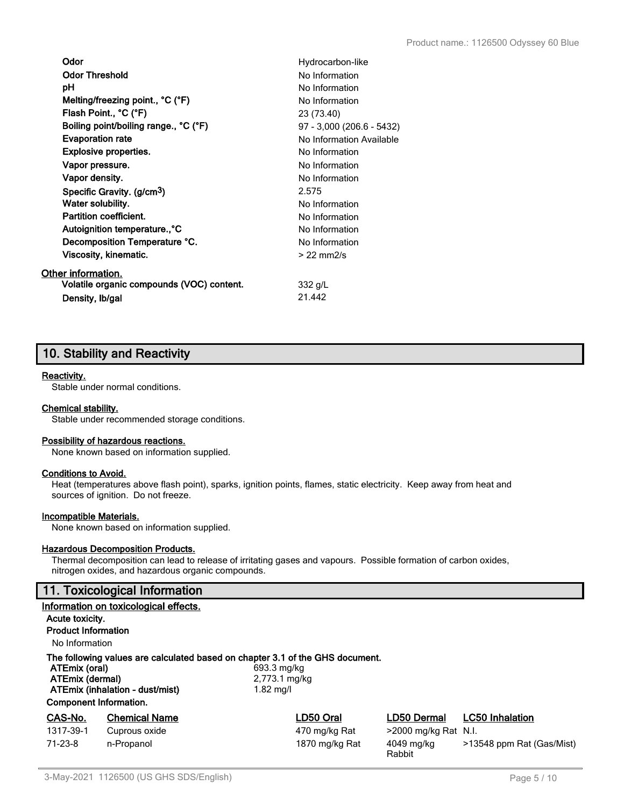| Odor                                      | Hydrocarbon-like          |
|-------------------------------------------|---------------------------|
| <b>Odor Threshold</b>                     | No Information            |
| рH                                        | No Information            |
| Melting/freezing point., °C (°F)          | No Information            |
| Flash Point., °C (°F)                     | 23 (73.40)                |
| Boiling point/boiling range., °C (°F)     | 97 - 3,000 (206.6 - 5432) |
| <b>Evaporation rate</b>                   | No Information Available  |
| <b>Explosive properties.</b>              | No Information            |
| Vapor pressure.                           | No Information            |
| Vapor density.                            | No Information            |
| Specific Gravity. (g/cm <sup>3</sup> )    | 2.575                     |
| Water solubility.                         | No Information            |
| Partition coefficient.                    | No Information            |
| Autoignition temperature., °C             | No Information            |
| Decomposition Temperature °C.             | No Information            |
| Viscosity, kinematic.                     | $>$ 22 mm $2/s$           |
| Other information.                        |                           |
| Volatile organic compounds (VOC) content. | 332 g/L                   |
| Density, Ib/gal                           | 21.442                    |

## **10. Stability and Reactivity**

#### **Reactivity.**

Stable under normal conditions.

#### **Chemical stability.**

Stable under recommended storage conditions.

#### **Possibility of hazardous reactions.**

None known based on information supplied.

#### **Conditions to Avoid.**

Heat (temperatures above flash point), sparks, ignition points, flames, static electricity. Keep away from heat and sources of ignition. Do not freeze.

#### **Incompatible Materials.**

None known based on information supplied.

#### **Hazardous Decomposition Products.**

Thermal decomposition can lead to release of irritating gases and vapours. Possible formation of carbon oxides, nitrogen oxides, and hazardous organic compounds.

## **11. Toxicological Information**

|                                                                                                                                                                                                                                      | <b>II. I</b> UAICOIOGICAI IIIIOIIIIIAUUII |                |                      |                           |
|--------------------------------------------------------------------------------------------------------------------------------------------------------------------------------------------------------------------------------------|-------------------------------------------|----------------|----------------------|---------------------------|
|                                                                                                                                                                                                                                      | Information on toxicological effects.     |                |                      |                           |
| Acute toxicity.                                                                                                                                                                                                                      |                                           |                |                      |                           |
| <b>Product Information</b>                                                                                                                                                                                                           |                                           |                |                      |                           |
| No Information                                                                                                                                                                                                                       |                                           |                |                      |                           |
| The following values are calculated based on chapter 3.1 of the GHS document.<br>ATEmix (oral)<br>693.3 mg/kg<br>ATEmix (dermal)<br>2,773.1 mg/kg<br>ATEmix (inhalation - dust/mist)<br>$1.82$ mg/l<br><b>Component Information.</b> |                                           |                |                      |                           |
| CAS-No.                                                                                                                                                                                                                              | <b>Chemical Name</b>                      | LD50 Oral      | <b>LD50 Dermal</b>   | <b>LC50 Inhalation</b>    |
| 1317-39-1                                                                                                                                                                                                                            | Cuprous oxide                             | 470 mg/kg Rat  | >2000 mg/kg Rat N.I. |                           |
| $71-23-8$                                                                                                                                                                                                                            | n-Propanol                                | 1870 mg/kg Rat | 4049 mg/kg<br>Rabbit | >13548 ppm Rat (Gas/Mist) |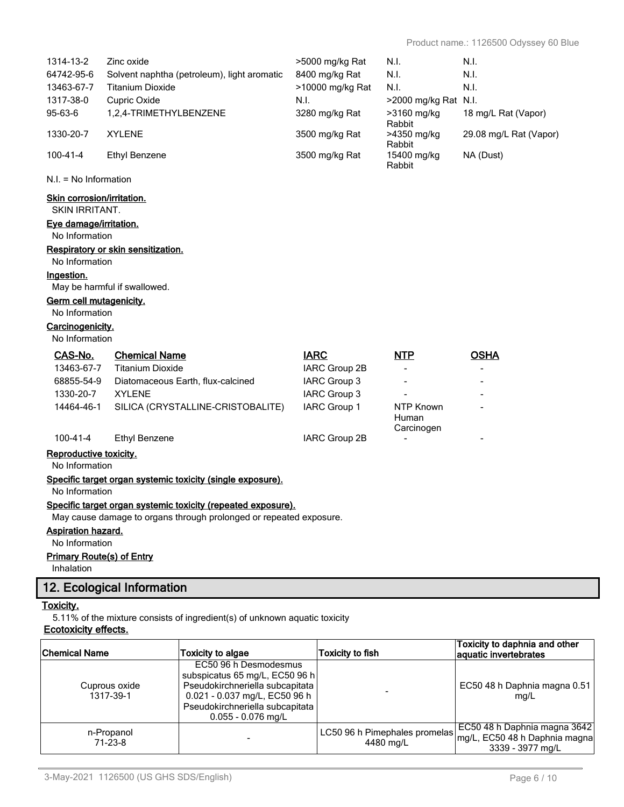|                                                            | Cuprous oxide<br>1317-39-1                      | EC50 96 h Desmodesmus<br>subspicatus 65 mg/L, EC50 96 h<br>Pseudokirchneriella subcapitata<br>0.021 - 0.037 mg/L, EC50 96 h |                                   |                           | EC50 48 h Daphnia magna 0.51<br>mg/L                   |
|------------------------------------------------------------|-------------------------------------------------|-----------------------------------------------------------------------------------------------------------------------------|-----------------------------------|---------------------------|--------------------------------------------------------|
| <b>Chemical Name</b>                                       |                                                 | <b>Toxicity to algae</b>                                                                                                    | <b>Toxicity to fish</b>           |                           | Toxicity to daphnia and other<br>aquatic invertebrates |
| <u>Toxicity.</u><br><b>Ecotoxicity effects.</b>            |                                                 | 5.11% of the mixture consists of ingredient(s) of unknown aquatic toxicity                                                  |                                   |                           |                                                        |
|                                                            | 12. Ecological Information                      |                                                                                                                             |                                   |                           |                                                        |
| Inhalation                                                 |                                                 |                                                                                                                             |                                   |                           |                                                        |
| <b>Primary Route(s) of Entry</b>                           |                                                 |                                                                                                                             |                                   |                           |                                                        |
| <b>Aspiration hazard.</b><br>No Information                |                                                 |                                                                                                                             |                                   |                           |                                                        |
|                                                            |                                                 | May cause damage to organs through prolonged or repeated exposure.                                                          |                                   |                           |                                                        |
|                                                            |                                                 | Specific target organ systemic toxicity (repeated exposure).                                                                |                                   |                           |                                                        |
| No Information                                             |                                                 | Specific target organ systemic toxicity (single exposure).                                                                  |                                   |                           |                                                        |
| No Information                                             |                                                 |                                                                                                                             |                                   |                           |                                                        |
| Reproductive toxicity.                                     |                                                 |                                                                                                                             |                                   |                           |                                                        |
| 100-41-4                                                   | <b>Ethyl Benzene</b>                            |                                                                                                                             | IARC Group 2B                     | Carcinogen                |                                                        |
| 14464-46-1                                                 |                                                 | SILICA (CRYSTALLINE-CRISTOBALITE)                                                                                           | IARC Group 1                      | <b>NTP Known</b><br>Human |                                                        |
| 1330-20-7                                                  | <b>XYLENE</b>                                   |                                                                                                                             | IARC Group 3                      |                           |                                                        |
| 68855-54-9                                                 |                                                 | Diatomaceous Earth, flux-calcined                                                                                           | IARC Group 2B<br>IARC Group 3     |                           |                                                        |
| CAS-No.<br>13463-67-7                                      | <b>Chemical Name</b><br><b>Titanium Dioxide</b> |                                                                                                                             | <b>IARC</b>                       | <b>NTP</b>                | <b>OSHA</b>                                            |
| No Information                                             |                                                 |                                                                                                                             |                                   |                           |                                                        |
| No Information<br>Carcinogenicity.                         |                                                 |                                                                                                                             |                                   |                           |                                                        |
| Germ cell mutagenicity.                                    |                                                 |                                                                                                                             |                                   |                           |                                                        |
| Ingestion.                                                 | May be harmful if swallowed.                    |                                                                                                                             |                                   |                           |                                                        |
| No Information                                             |                                                 |                                                                                                                             |                                   |                           |                                                        |
| No Information                                             | Respiratory or skin sensitization.              |                                                                                                                             |                                   |                           |                                                        |
| Eye damage/irritation.                                     |                                                 |                                                                                                                             |                                   |                           |                                                        |
| <b>Skin corrosion/irritation.</b><br><b>SKIN IRRITANT.</b> |                                                 |                                                                                                                             |                                   |                           |                                                        |
| $N.I. = No$ Information                                    |                                                 |                                                                                                                             |                                   |                           |                                                        |
| $100 - 41 - 4$                                             | <b>Ethyl Benzene</b>                            |                                                                                                                             | 3500 mg/kg Rat                    | 15400 mg/kg<br>Rabbit     | NA (Dust)                                              |
| 1330-20-7                                                  | <b>XYLENE</b>                                   |                                                                                                                             | 3500 mg/kg Rat                    | >4350 mg/kg<br>Rabbit     | 29.08 mg/L Rat (Vapor)                                 |
| 95-63-6                                                    | 1,2,4-TRIMETHYLBENZENE                          |                                                                                                                             | 3280 mg/kg Rat                    | >3160 mg/kg<br>Rabbit     | 18 mg/L Rat (Vapor)                                    |
| 1317-38-0                                                  | Cupric Oxide                                    |                                                                                                                             | N.I.                              | >2000 mg/kg Rat N.I.      |                                                        |
| 13463-67-7                                                 | <b>Titanium Dioxide</b>                         |                                                                                                                             | >10000 mg/kg Rat                  | N.I.                      | N.I.                                                   |
| 1314-13-2<br>64742-95-6                                    | Zinc oxide                                      | Solvent naphtha (petroleum), light aromatic                                                                                 | >5000 mg/kg Rat<br>8400 mg/kg Rat | N.I.<br>N.I.              | N.I.<br>N.I.                                           |
|                                                            |                                                 |                                                                                                                             |                                   |                           |                                                        |

 $\overline{\phantom{a}}$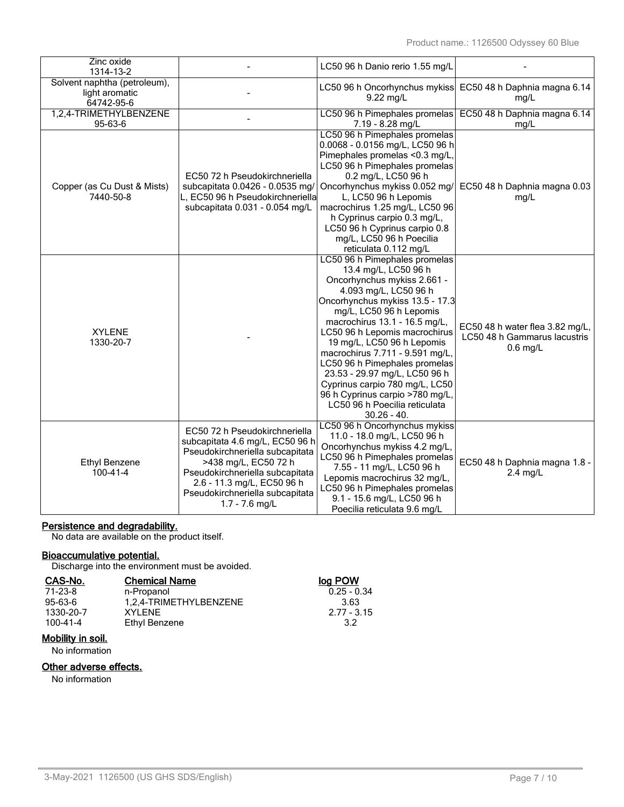| Zinc oxide<br>1314-13-2                                      |                                                                                                                                                                                                                                                     | LC50 96 h Danio rerio 1.55 mg/L                                                                                                                                                                                                                                                                                                                                                                                                                                                                         |                                                                               |
|--------------------------------------------------------------|-----------------------------------------------------------------------------------------------------------------------------------------------------------------------------------------------------------------------------------------------------|---------------------------------------------------------------------------------------------------------------------------------------------------------------------------------------------------------------------------------------------------------------------------------------------------------------------------------------------------------------------------------------------------------------------------------------------------------------------------------------------------------|-------------------------------------------------------------------------------|
| Solvent naphtha (petroleum),<br>light aromatic<br>64742-95-6 |                                                                                                                                                                                                                                                     | 9.22 mg/L                                                                                                                                                                                                                                                                                                                                                                                                                                                                                               | LC50 96 h Oncorhynchus mykiss EC50 48 h Daphnia magna 6.14<br>mg/L            |
| 1,2,4-TRIMETHYLBENZENE<br>95-63-6                            |                                                                                                                                                                                                                                                     | LC50 96 h Pimephales promelas<br>7.19 - 8.28 mg/L                                                                                                                                                                                                                                                                                                                                                                                                                                                       | EC50 48 h Daphnia magna 6.14<br>mg/L                                          |
| Copper (as Cu Dust & Mists)<br>7440-50-8                     | EC50 72 h Pseudokirchneriella<br>subcapitata 0.0426 - 0.0535 mg/<br>L, EC50 96 h Pseudokirchneriella<br>subcapitata 0.031 - 0.054 mg/L                                                                                                              | LC50 96 h Pimephales promelas<br>0.0068 - 0.0156 mg/L, LC50 96 h<br>Pimephales promelas <0.3 mg/L,<br>LC50 96 h Pimephales promelas<br>0.2 mg/L, LC50 96 h<br>Oncorhynchus mykiss 0.052 mg/<br>L, LC50 96 h Lepomis<br>macrochirus 1.25 mg/L, LC50 96<br>h Cyprinus carpio 0.3 mg/L,<br>LC50 96 h Cyprinus carpio 0.8<br>mg/L, LC50 96 h Poecilia<br>reticulata 0.112 mg/L                                                                                                                              | EC50 48 h Daphnia magna 0.03<br>mg/L                                          |
| <b>XYLENE</b><br>1330-20-7                                   |                                                                                                                                                                                                                                                     | LC50 96 h Pimephales promelas<br>13.4 mg/L, LC50 96 h<br>Oncorhynchus mykiss 2.661 -<br>4.093 mg/L, LC50 96 h<br>Oncorhynchus mykiss 13.5 - 17.3<br>mg/L, LC50 96 h Lepomis<br>macrochirus 13.1 - 16.5 mg/L,<br>LC50 96 h Lepomis macrochirus<br>19 mg/L, LC50 96 h Lepomis<br>macrochirus 7.711 - 9.591 mg/L,<br>LC50 96 h Pimephales promelas<br>23.53 - 29.97 mg/L, LC50 96 h<br>Cyprinus carpio 780 mg/L, LC50<br>96 h Cyprinus carpio >780 mg/L,<br>LC50 96 h Poecilia reticulata<br>$30.26 - 40.$ | EC50 48 h water flea 3.82 mg/L,<br>LC50 48 h Gammarus lacustris<br>$0.6$ mg/L |
| Ethyl Benzene<br>100-41-4                                    | EC50 72 h Pseudokirchneriella<br>subcapitata 4.6 mg/L, EC50 96 h<br>Pseudokirchneriella subcapitata<br>>438 mg/L, EC50 72 h<br>Pseudokirchneriella subcapitata<br>2.6 - 11.3 mg/L, EC50 96 h<br>Pseudokirchneriella subcapitata<br>$1.7 - 7.6$ mg/L | LC50 96 h Oncorhynchus mykiss<br>11.0 - 18.0 mg/L, LC50 96 h<br>Oncorhynchus mykiss 4.2 mg/L,<br>LC50 96 h Pimephales promelas<br>7.55 - 11 mg/L, LC50 96 h<br>Lepomis macrochirus 32 mg/L,<br>LC50 96 h Pimephales promelas<br>9.1 - 15.6 mg/L, LC50 96 h<br>Poecilia reticulata 9.6 mg/L                                                                                                                                                                                                              | EC50 48 h Daphnia magna 1.8 -<br>$2.4$ mg/L                                   |

#### **Persistence and degradability.**

No data are available on the product itself.

#### **Bioaccumulative potential.**

Discharge into the environment must be avoided.

| CAS-No.   | <b>Chemical Name</b>   | log POW       |
|-----------|------------------------|---------------|
| 71-23-8   | n-Propanol             | $0.25 - 0.34$ |
| 95-63-6   | 1.2.4-TRIMETHYLBENZENE | 3.63          |
| 1330-20-7 | XYI FNF                | $2.77 - 3.15$ |
| 100-41-4  | Ethyl Benzene          | 32            |

## **Mobility in soil.**

No information

### **Other adverse effects.**

No information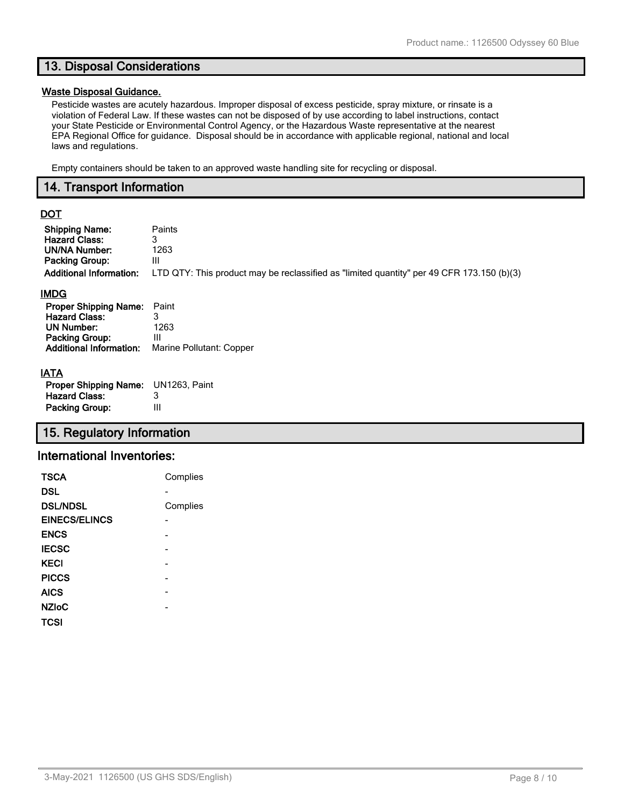## **13. Disposal Considerations**

#### **Waste Disposal Guidance.**

Pesticide wastes are acutely hazardous. Improper disposal of excess pesticide, spray mixture, or rinsate is a violation of Federal Law. If these wastes can not be disposed of by use according to label instructions, contact your State Pesticide or Environmental Control Agency, or the Hazardous Waste representative at the nearest EPA Regional Office for guidance. Disposal should be in accordance with applicable regional, national and local laws and regulations.

Empty containers should be taken to an approved waste handling site for recycling or disposal.

### **14. Transport Information**

## **DOT**

| <b>Shipping Name:</b>                                                                                                                        | Paints                                                                                    |
|----------------------------------------------------------------------------------------------------------------------------------------------|-------------------------------------------------------------------------------------------|
| <b>Hazard Class:</b>                                                                                                                         | 3                                                                                         |
| <b>UN/NA Number:</b>                                                                                                                         | 1263                                                                                      |
| <b>Packing Group:</b>                                                                                                                        | Ш                                                                                         |
| <b>Additional Information:</b>                                                                                                               | LTD QTY: This product may be reclassified as "limited quantity" per 49 CFR 173.150 (b)(3) |
| <b>IMDG</b><br><b>Proper Shipping Name:</b><br><b>Hazard Class:</b><br><b>UN Number:</b><br>Packing Group:<br><b>Additional Information:</b> | Paint<br>3<br>1263<br>Ш<br>Marine Pollutant: Copper                                       |

## **IATA**

| <b>Proper Shipping Name:</b> UN1263, Paint |   |
|--------------------------------------------|---|
| <b>Hazard Class:</b>                       | 3 |
| <b>Packing Group:</b>                      | Ш |

## **15. Regulatory Information**

### **International Inventories:**

| <b>TSCA</b>          | Complies |
|----------------------|----------|
| DSL                  |          |
| <b>DSL/NDSL</b>      | Complies |
| <b>EINECS/ELINCS</b> |          |
| <b>ENCS</b>          |          |
| <b>IECSC</b>         |          |
| <b>KECI</b>          |          |
| <b>PICCS</b>         |          |
| <b>AICS</b>          |          |
| <b>NZIoC</b>         |          |
| TCSI                 |          |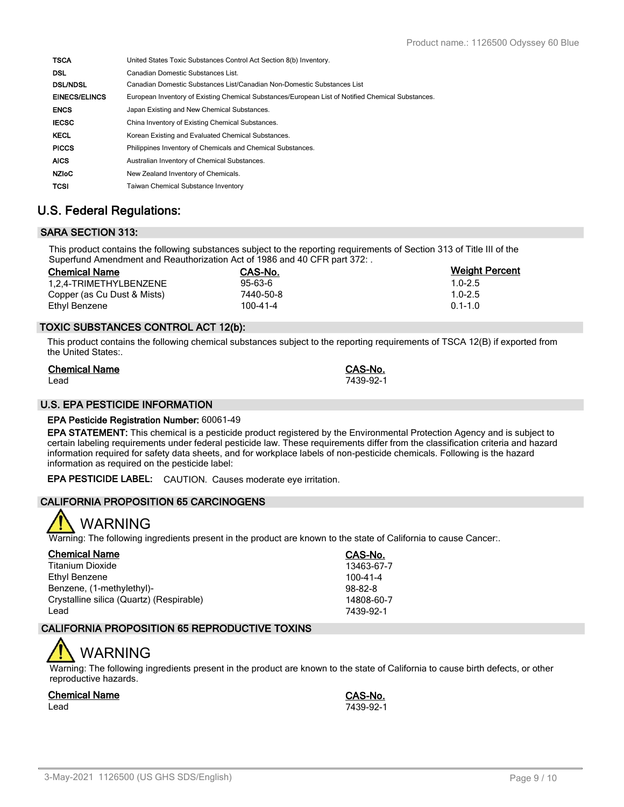| <b>TSCA</b>          | United States Toxic Substances Control Act Section 8(b) Inventory.                                |
|----------------------|---------------------------------------------------------------------------------------------------|
| <b>DSL</b>           | Canadian Domestic Substances List.                                                                |
| <b>DSL/NDSL</b>      | Canadian Domestic Substances List/Canadian Non-Domestic Substances List                           |
| <b>EINECS/ELINCS</b> | European Inventory of Existing Chemical Substances/European List of Notified Chemical Substances. |
| <b>ENCS</b>          | Japan Existing and New Chemical Substances.                                                       |
| <b>IECSC</b>         | China Inventory of Existing Chemical Substances.                                                  |
| <b>KECL</b>          | Korean Existing and Evaluated Chemical Substances.                                                |
| <b>PICCS</b>         | Philippines Inventory of Chemicals and Chemical Substances.                                       |
| <b>AICS</b>          | Australian Inventory of Chemical Substances.                                                      |
| <b>NZIOC</b>         | New Zealand Inventory of Chemicals.                                                               |
| <b>TCSI</b>          | <b>Taiwan Chemical Substance Inventory</b>                                                        |

## **U.S. Federal Regulations:**

## **SARA SECTION 313:**

This product contains the following substances subject to the reporting requirements of Section 313 of Title III of the Superfund Amendment and Reauthorization Act of 1986 and 40 CFR part 372: .

| <b>Chemical Name</b>        | CAS-No.        | <b>Weight Percent</b> |
|-----------------------------|----------------|-----------------------|
| 1.2.4-TRIMETHYLBENZENE      | $95 - 63 - 6$  | $1.0 - 2.5$           |
| Copper (as Cu Dust & Mists) | 7440-50-8      | $1.0 - 2.5$           |
| Ethyl Benzene               | $100 - 41 - 4$ | $0.1 - 1.0$           |

### **TOXIC SUBSTANCES CONTROL ACT 12(b):**

This product contains the following chemical substances subject to the reporting requirements of TSCA 12(B) if exported from the United States:.

| <b>Chemical Name</b> | CAS-No.   |
|----------------------|-----------|
| Lead                 | 7439-92-1 |

#### **U.S. EPA PESTICIDE INFORMATION**

#### **EPA Pesticide Registration Number:** 60061-49

**EPA STATEMENT:** This chemical is a pesticide product registered by the Environmental Protection Agency and is subject to certain labeling requirements under federal pesticide law. These requirements differ from the classification criteria and hazard information required for safety data sheets, and for workplace labels of non-pesticide chemicals. Following is the hazard information as required on the pesticide label:

**EPA PESTICIDE LABEL:** CAUTION. Causes moderate eye irritation.

### **CALIFORNIA PROPOSITION 65 CARCINOGENS**



Warning: The following ingredients present in the product are known to the state of California to cause Cancer:.

| <b>Chemical Name</b>                     | CAS-No.        |
|------------------------------------------|----------------|
| <b>Titanium Dioxide</b>                  | 13463-67-7     |
| Ethyl Benzene                            | $100 - 41 - 4$ |
| Benzene, (1-methylethyl)-                | $98 - 82 - 8$  |
| Crystalline silica (Quartz) (Respirable) | 14808-60-7     |
| Lead                                     | 7439-92-1      |

### **CALIFORNIA PROPOSITION 65 REPRODUCTIVE TOXINS**

# WARNING

Warning: The following ingredients present in the product are known to the state of California to cause birth defects, or other reproductive hazards.

#### **Chemical Name CAS-No.**

Lead 7439-92-1